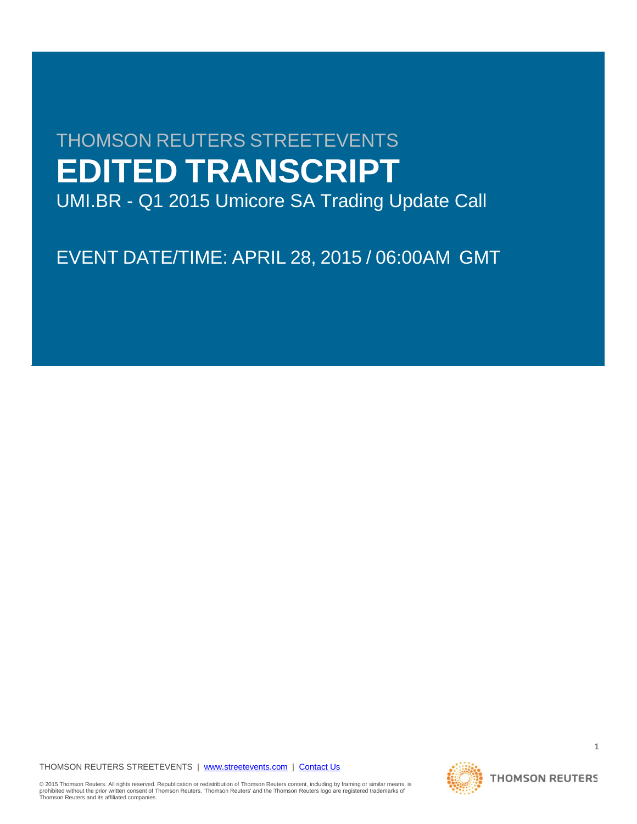# THOMSON REUTERS STREETEVENTS **EDITED TRANSCRIPT**

UMI.BR - Q1 2015 Umicore SA Trading Update Call

EVENT DATE/TIME: APRIL 28, 2015 / 06:00AM GMT

THOMSON REUTERS STREETEVENTS | [www.streetevents.com](http://www.streetevents.com/) | [Contact Us](http://www010.streetevents.com/contact.asp)

**THOMSON REUTERS** 

1

© 2015 Thomson Reuters. All rights reserved. Republication or redistribution of Thomson Reuters content, including by framing or similar means, is<br>prohibited without the prior written consent of Thomson Reuters. 'Thomson R Thomson Reuters and its affiliated companies.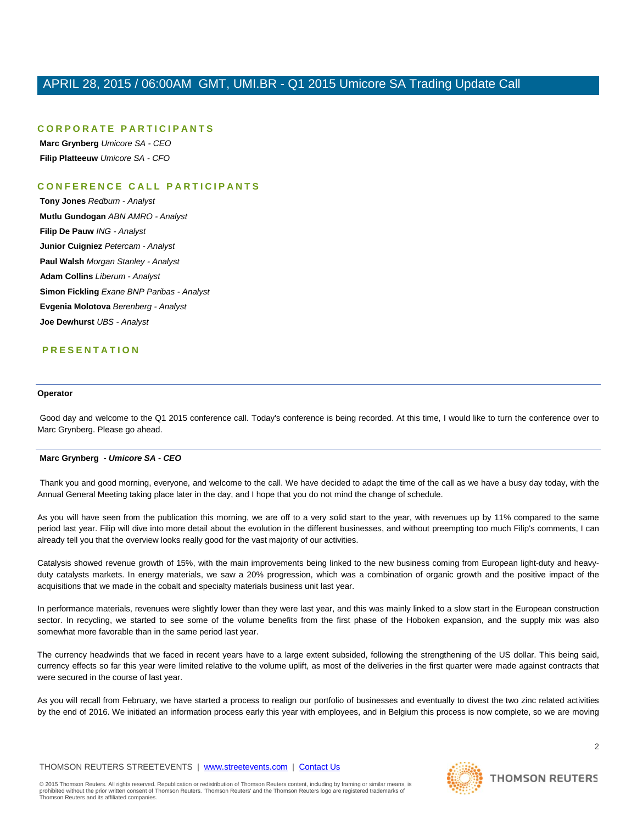# **CORPORATE PARTICIPANTS**

**Marc Grynberg** *Umicore SA - CEO* **Filip Platteeuw** *Umicore SA - CFO*

# **CONFERENCE CALL PART ICIPANTS**

**Tony Jones** *Redburn - Analyst* **Mutlu Gundogan** *ABN AMRO - Analyst* **Filip De Pauw** *ING - Analyst* **Junior Cuigniez** *Petercam - Analyst* **Paul Walsh** *Morgan Stanley - Analyst* **Adam Collins** *Liberum - Analyst* **Simon Fickling** *Exane BNP Paribas - Analyst* **Evgenia Molotova** *Berenberg - Analyst* **Joe Dewhurst** *UBS - Analyst*

# **PRESENTATION**

# **Operator**

Good day and welcome to the Q1 2015 conference call. Today's conference is being recorded. At this time, I would like to turn the conference over to Marc Grynberg. Please go ahead.

#### **Marc Grynberg** *- Umicore SA - CEO*

Thank you and good morning, everyone, and welcome to the call. We have decided to adapt the time of the call as we have a busy day today, with the Annual General Meeting taking place later in the day, and I hope that you do not mind the change of schedule.

As you will have seen from the publication this morning, we are off to a very solid start to the year, with revenues up by 11% compared to the same period last year. Filip will dive into more detail about the evolution in the different businesses, and without preempting too much Filip's comments, I can already tell you that the overview looks really good for the vast majority of our activities.

Catalysis showed revenue growth of 15%, with the main improvements being linked to the new business coming from European light-duty and heavyduty catalysts markets. In energy materials, we saw a 20% progression, which was a combination of organic growth and the positive impact of the acquisitions that we made in the cobalt and specialty materials business unit last year.

In performance materials, revenues were slightly lower than they were last year, and this was mainly linked to a slow start in the European construction sector. In recycling, we started to see some of the volume benefits from the first phase of the Hoboken expansion, and the supply mix was also somewhat more favorable than in the same period last year.

The currency headwinds that we faced in recent years have to a large extent subsided, following the strengthening of the US dollar. This being said, currency effects so far this year were limited relative to the volume uplift, as most of the deliveries in the first quarter were made against contracts that were secured in the course of last year.

As you will recall from February, we have started a process to realign our portfolio of businesses and eventually to divest the two zinc related activities by the end of 2016. We initiated an information process early this year with employees, and in Belgium this process is now complete, so we are moving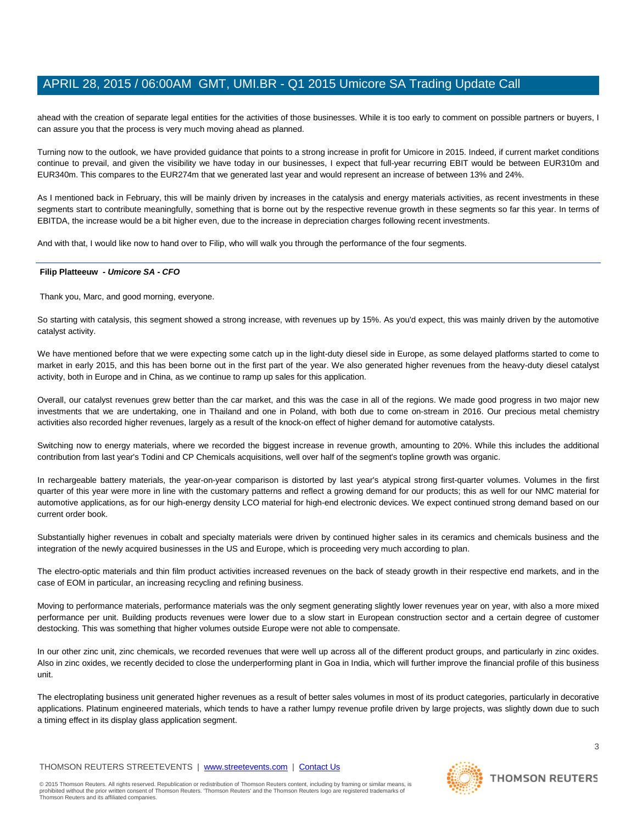ahead with the creation of separate legal entities for the activities of those businesses. While it is too early to comment on possible partners or buyers, I can assure you that the process is very much moving ahead as planned.

Turning now to the outlook, we have provided guidance that points to a strong increase in profit for Umicore in 2015. Indeed, if current market conditions continue to prevail, and given the visibility we have today in our businesses, I expect that full-year recurring EBIT would be between EUR310m and EUR340m. This compares to the EUR274m that we generated last year and would represent an increase of between 13% and 24%.

As I mentioned back in February, this will be mainly driven by increases in the catalysis and energy materials activities, as recent investments in these segments start to contribute meaningfully, something that is borne out by the respective revenue growth in these segments so far this year. In terms of EBITDA, the increase would be a bit higher even, due to the increase in depreciation charges following recent investments.

And with that, I would like now to hand over to Filip, who will walk you through the performance of the four segments.

#### **Filip Platteeuw** *- Umicore SA - CFO*

Thank you, Marc, and good morning, everyone.

So starting with catalysis, this segment showed a strong increase, with revenues up by 15%. As you'd expect, this was mainly driven by the automotive catalyst activity.

We have mentioned before that we were expecting some catch up in the light-duty diesel side in Europe, as some delayed platforms started to come to market in early 2015, and this has been borne out in the first part of the year. We also generated higher revenues from the heavy-duty diesel catalyst activity, both in Europe and in China, as we continue to ramp up sales for this application.

Overall, our catalyst revenues grew better than the car market, and this was the case in all of the regions. We made good progress in two major new investments that we are undertaking, one in Thailand and one in Poland, with both due to come on-stream in 2016. Our precious metal chemistry activities also recorded higher revenues, largely as a result of the knock-on effect of higher demand for automotive catalysts.

Switching now to energy materials, where we recorded the biggest increase in revenue growth, amounting to 20%. While this includes the additional contribution from last year's Todini and CP Chemicals acquisitions, well over half of the segment's topline growth was organic.

In rechargeable battery materials, the year-on-year comparison is distorted by last year's atypical strong first-quarter volumes. Volumes in the first quarter of this year were more in line with the customary patterns and reflect a growing demand for our products; this as well for our NMC material for automotive applications, as for our high-energy density LCO material for high-end electronic devices. We expect continued strong demand based on our current order book.

Substantially higher revenues in cobalt and specialty materials were driven by continued higher sales in its ceramics and chemicals business and the integration of the newly acquired businesses in the US and Europe, which is proceeding very much according to plan.

The electro-optic materials and thin film product activities increased revenues on the back of steady growth in their respective end markets, and in the case of EOM in particular, an increasing recycling and refining business.

Moving to performance materials, performance materials was the only segment generating slightly lower revenues year on year, with also a more mixed performance per unit. Building products revenues were lower due to a slow start in European construction sector and a certain degree of customer destocking. This was something that higher volumes outside Europe were not able to compensate.

In our other zinc unit, zinc chemicals, we recorded revenues that were well up across all of the different product groups, and particularly in zinc oxides. Also in zinc oxides, we recently decided to close the underperforming plant in Goa in India, which will further improve the financial profile of this business unit.

The electroplating business unit generated higher revenues as a result of better sales volumes in most of its product categories, particularly in decorative applications. Platinum engineered materials, which tends to have a rather lumpy revenue profile driven by large projects, was slightly down due to such a timing effect in its display glass application segment.

© 2015 Thomson Reuters. All rights reserved. Republication or redistribution of Thomson Reuters content, including by framing or similar means, is<br>prohibited without the prior written consent of Thomson Reuters. 'Thomson R

Thomson Reuters and its affiliated companies.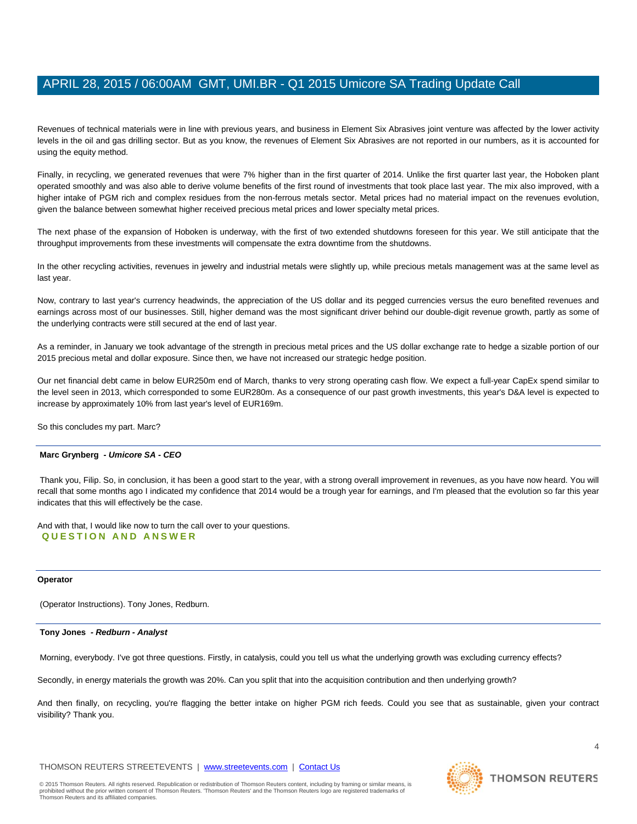Revenues of technical materials were in line with previous years, and business in Element Six Abrasives joint venture was affected by the lower activity levels in the oil and gas drilling sector. But as you know, the revenues of Element Six Abrasives are not reported in our numbers, as it is accounted for using the equity method.

Finally, in recycling, we generated revenues that were 7% higher than in the first quarter of 2014. Unlike the first quarter last year, the Hoboken plant operated smoothly and was also able to derive volume benefits of the first round of investments that took place last year. The mix also improved, with a higher intake of PGM rich and complex residues from the non-ferrous metals sector. Metal prices had no material impact on the revenues evolution, given the balance between somewhat higher received precious metal prices and lower specialty metal prices.

The next phase of the expansion of Hoboken is underway, with the first of two extended shutdowns foreseen for this year. We still anticipate that the throughput improvements from these investments will compensate the extra downtime from the shutdowns.

In the other recycling activities, revenues in jewelry and industrial metals were slightly up, while precious metals management was at the same level as last year.

Now, contrary to last year's currency headwinds, the appreciation of the US dollar and its pegged currencies versus the euro benefited revenues and earnings across most of our businesses. Still, higher demand was the most significant driver behind our double-digit revenue growth, partly as some of the underlying contracts were still secured at the end of last year.

As a reminder, in January we took advantage of the strength in precious metal prices and the US dollar exchange rate to hedge a sizable portion of our 2015 precious metal and dollar exposure. Since then, we have not increased our strategic hedge position.

Our net financial debt came in below EUR250m end of March, thanks to very strong operating cash flow. We expect a full-year CapEx spend similar to the level seen in 2013, which corresponded to some EUR280m. As a consequence of our past growth investments, this year's D&A level is expected to increase by approximately 10% from last year's level of EUR169m.

So this concludes my part. Marc?

# **Marc Grynberg** *- Umicore SA - CEO*

Thank you, Filip. So, in conclusion, it has been a good start to the year, with a strong overall improvement in revenues, as you have now heard. You will recall that some months ago I indicated my confidence that 2014 would be a trough year for earnings, and I'm pleased that the evolution so far this year indicates that this will effectively be the case.

And with that, I would like now to turn the call over to your questions. **QUESTION AND ANSWER**

#### **Operator**

(Operator Instructions). Tony Jones, Redburn.

#### **Tony Jones** *- Redburn - Analyst*

Morning, everybody. I've got three questions. Firstly, in catalysis, could you tell us what the underlying growth was excluding currency effects?

Secondly, in energy materials the growth was 20%. Can you split that into the acquisition contribution and then underlying growth?

And then finally, on recycling, you're flagging the better intake on higher PGM rich feeds. Could you see that as sustainable, given your contract visibility? Thank you.

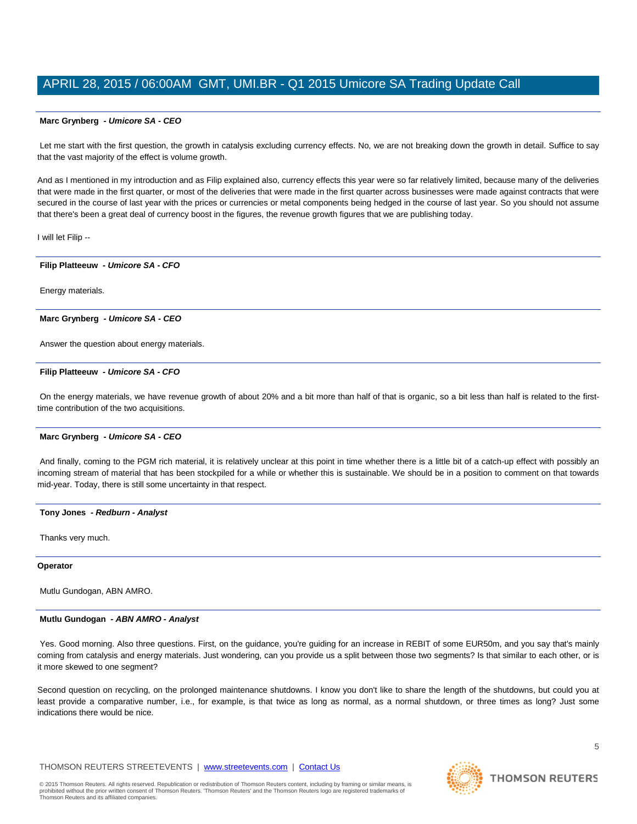# **Marc Grynberg** *- Umicore SA - CEO*

Let me start with the first question, the growth in catalysis excluding currency effects. No, we are not breaking down the growth in detail. Suffice to say that the vast majority of the effect is volume growth.

And as I mentioned in my introduction and as Filip explained also, currency effects this year were so far relatively limited, because many of the deliveries that were made in the first quarter, or most of the deliveries that were made in the first quarter across businesses were made against contracts that were secured in the course of last year with the prices or currencies or metal components being hedged in the course of last year. So you should not assume that there's been a great deal of currency boost in the figures, the revenue growth figures that we are publishing today.

I will let Filip --

#### **Filip Platteeuw** *- Umicore SA - CFO*

Energy materials.

#### **Marc Grynberg** *- Umicore SA - CEO*

Answer the question about energy materials.

#### **Filip Platteeuw** *- Umicore SA - CFO*

On the energy materials, we have revenue growth of about 20% and a bit more than half of that is organic, so a bit less than half is related to the firsttime contribution of the two acquisitions.

# **Marc Grynberg** *- Umicore SA - CEO*

And finally, coming to the PGM rich material, it is relatively unclear at this point in time whether there is a little bit of a catch-up effect with possibly an incoming stream of material that has been stockpiled for a while or whether this is sustainable. We should be in a position to comment on that towards mid-year. Today, there is still some uncertainty in that respect.

#### **Tony Jones** *- Redburn - Analyst*

Thanks very much.

#### **Operator**

Mutlu Gundogan, ABN AMRO.

#### **Mutlu Gundogan** *- ABN AMRO - Analyst*

Yes. Good morning. Also three questions. First, on the guidance, you're guiding for an increase in REBIT of some EUR50m, and you say that's mainly coming from catalysis and energy materials. Just wondering, can you provide us a split between those two segments? Is that similar to each other, or is it more skewed to one segment?

Second question on recycling, on the prolonged maintenance shutdowns. I know you don't like to share the length of the shutdowns, but could you at least provide a comparative number, i.e., for example, is that twice as long as normal, as a normal shutdown, or three times as long? Just some indications there would be nice.

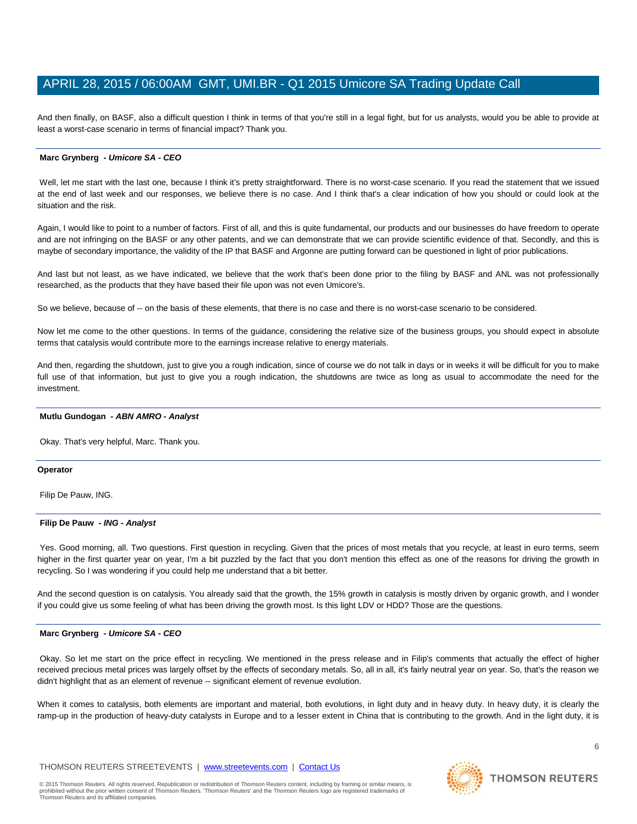And then finally, on BASF, also a difficult question I think in terms of that you're still in a legal fight, but for us analysts, would you be able to provide at least a worst-case scenario in terms of financial impact? Thank you.

## **Marc Grynberg** *- Umicore SA - CEO*

Well, let me start with the last one, because I think it's pretty straightforward. There is no worst-case scenario. If you read the statement that we issued at the end of last week and our responses, we believe there is no case. And I think that's a clear indication of how you should or could look at the situation and the risk.

Again, I would like to point to a number of factors. First of all, and this is quite fundamental, our products and our businesses do have freedom to operate and are not infringing on the BASF or any other patents, and we can demonstrate that we can provide scientific evidence of that. Secondly, and this is maybe of secondary importance, the validity of the IP that BASF and Argonne are putting forward can be questioned in light of prior publications.

And last but not least, as we have indicated, we believe that the work that's been done prior to the filing by BASF and ANL was not professionally researched, as the products that they have based their file upon was not even Umicore's.

So we believe, because of -- on the basis of these elements, that there is no case and there is no worst-case scenario to be considered.

Now let me come to the other questions. In terms of the guidance, considering the relative size of the business groups, you should expect in absolute terms that catalysis would contribute more to the earnings increase relative to energy materials.

And then, regarding the shutdown, just to give you a rough indication, since of course we do not talk in days or in weeks it will be difficult for you to make full use of that information, but just to give you a rough indication, the shutdowns are twice as long as usual to accommodate the need for the investment.

## **Mutlu Gundogan** *- ABN AMRO - Analyst*

Okay. That's very helpful, Marc. Thank you.

#### **Operator**

Filip De Pauw, ING.

# **Filip De Pauw** *- ING - Analyst*

Yes. Good morning, all. Two questions. First question in recycling. Given that the prices of most metals that you recycle, at least in euro terms, seem higher in the first quarter year on year, I'm a bit puzzled by the fact that you don't mention this effect as one of the reasons for driving the growth in recycling. So I was wondering if you could help me understand that a bit better.

And the second question is on catalysis. You already said that the growth, the 15% growth in catalysis is mostly driven by organic growth, and I wonder if you could give us some feeling of what has been driving the growth most. Is this light LDV or HDD? Those are the questions.

# **Marc Grynberg** *- Umicore SA - CEO*

Okay. So let me start on the price effect in recycling. We mentioned in the press release and in Filip's comments that actually the effect of higher received precious metal prices was largely offset by the effects of secondary metals. So, all in all, it's fairly neutral year on year. So, that's the reason we didn't highlight that as an element of revenue -- significant element of revenue evolution.

When it comes to catalysis, both elements are important and material, both evolutions, in light duty and in heavy duty. In heavy duty, it is clearly the ramp-up in the production of heavy-duty catalysts in Europe and to a lesser extent in China that is contributing to the growth. And in the light duty, it is

**THOMSON REUTERS** 

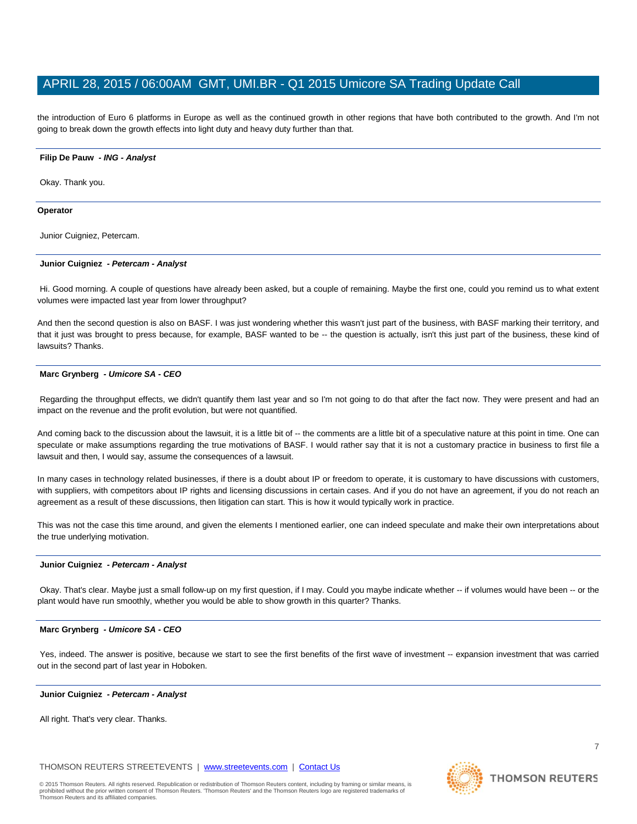the introduction of Euro 6 platforms in Europe as well as the continued growth in other regions that have both contributed to the growth. And I'm not going to break down the growth effects into light duty and heavy duty further than that.

## **Filip De Pauw** *- ING - Analyst*

Okay. Thank you.

## **Operator**

Junior Cuigniez, Petercam.

#### **Junior Cuigniez** *- Petercam - Analyst*

Hi. Good morning. A couple of questions have already been asked, but a couple of remaining. Maybe the first one, could you remind us to what extent volumes were impacted last year from lower throughput?

And then the second question is also on BASF. I was just wondering whether this wasn't just part of the business, with BASF marking their territory, and that it just was brought to press because, for example, BASF wanted to be -- the question is actually, isn't this just part of the business, these kind of lawsuits? Thanks.

# **Marc Grynberg** *- Umicore SA - CEO*

Regarding the throughput effects, we didn't quantify them last year and so I'm not going to do that after the fact now. They were present and had an impact on the revenue and the profit evolution, but were not quantified.

And coming back to the discussion about the lawsuit, it is a little bit of -- the comments are a little bit of a speculative nature at this point in time. One can speculate or make assumptions regarding the true motivations of BASF. I would rather say that it is not a customary practice in business to first file a lawsuit and then, I would say, assume the consequences of a lawsuit.

In many cases in technology related businesses, if there is a doubt about IP or freedom to operate, it is customary to have discussions with customers, with suppliers, with competitors about IP rights and licensing discussions in certain cases. And if you do not have an agreement, if you do not reach an agreement as a result of these discussions, then litigation can start. This is how it would typically work in practice.

This was not the case this time around, and given the elements I mentioned earlier, one can indeed speculate and make their own interpretations about the true underlying motivation.

#### **Junior Cuigniez** *- Petercam - Analyst*

Okay. That's clear. Maybe just a small follow-up on my first question, if I may. Could you maybe indicate whether -- if volumes would have been -- or the plant would have run smoothly, whether you would be able to show growth in this quarter? Thanks.

# **Marc Grynberg** *- Umicore SA - CEO*

Yes, indeed. The answer is positive, because we start to see the first benefits of the first wave of investment -- expansion investment that was carried out in the second part of last year in Hoboken.

#### **Junior Cuigniez** *- Petercam - Analyst*

All right. That's very clear. Thanks.

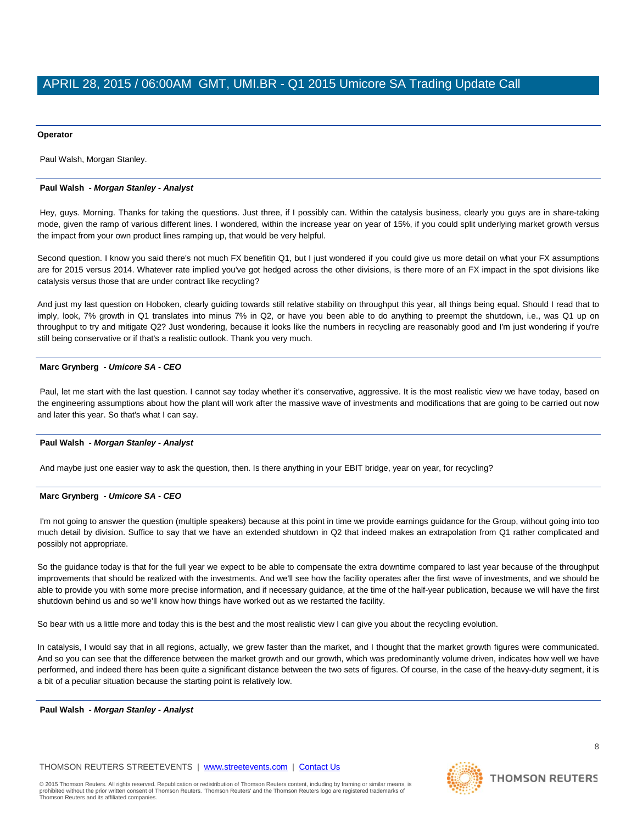#### **Operator**

Paul Walsh, Morgan Stanley.

# **Paul Walsh** *- Morgan Stanley - Analyst*

Hey, guys. Morning. Thanks for taking the questions. Just three, if I possibly can. Within the catalysis business, clearly you guys are in share-taking mode, given the ramp of various different lines. I wondered, within the increase year on year of 15%, if you could split underlying market growth versus the impact from your own product lines ramping up, that would be very helpful.

Second question. I know you said there's not much FX benefitin Q1, but I just wondered if you could give us more detail on what your FX assumptions are for 2015 versus 2014. Whatever rate implied you've got hedged across the other divisions, is there more of an FX impact in the spot divisions like catalysis versus those that are under contract like recycling?

And just my last question on Hoboken, clearly guiding towards still relative stability on throughput this year, all things being equal. Should I read that to imply, look, 7% growth in Q1 translates into minus 7% in Q2, or have you been able to do anything to preempt the shutdown, i.e., was Q1 up on throughput to try and mitigate Q2? Just wondering, because it looks like the numbers in recycling are reasonably good and I'm just wondering if you're still being conservative or if that's a realistic outlook. Thank you very much.

# **Marc Grynberg** *- Umicore SA - CEO*

Paul, let me start with the last question. I cannot say today whether it's conservative, aggressive. It is the most realistic view we have today, based on the engineering assumptions about how the plant will work after the massive wave of investments and modifications that are going to be carried out now and later this year. So that's what I can say.

# **Paul Walsh** *- Morgan Stanley - Analyst*

And maybe just one easier way to ask the question, then. Is there anything in your EBIT bridge, year on year, for recycling?

# **Marc Grynberg** *- Umicore SA - CEO*

I'm not going to answer the question (multiple speakers) because at this point in time we provide earnings guidance for the Group, without going into too much detail by division. Suffice to say that we have an extended shutdown in Q2 that indeed makes an extrapolation from Q1 rather complicated and possibly not appropriate.

So the guidance today is that for the full year we expect to be able to compensate the extra downtime compared to last year because of the throughput improvements that should be realized with the investments. And we'll see how the facility operates after the first wave of investments, and we should be able to provide you with some more precise information, and if necessary guidance, at the time of the half-year publication, because we will have the first shutdown behind us and so we'll know how things have worked out as we restarted the facility.

So bear with us a little more and today this is the best and the most realistic view I can give you about the recycling evolution.

In catalysis, I would say that in all regions, actually, we grew faster than the market, and I thought that the market growth figures were communicated. And so you can see that the difference between the market growth and our growth, which was predominantly volume driven, indicates how well we have performed, and indeed there has been quite a significant distance between the two sets of figures. Of course, in the case of the heavy-duty segment, it is a bit of a peculiar situation because the starting point is relatively low.

**Paul Walsh** *- Morgan Stanley - Analyst* 

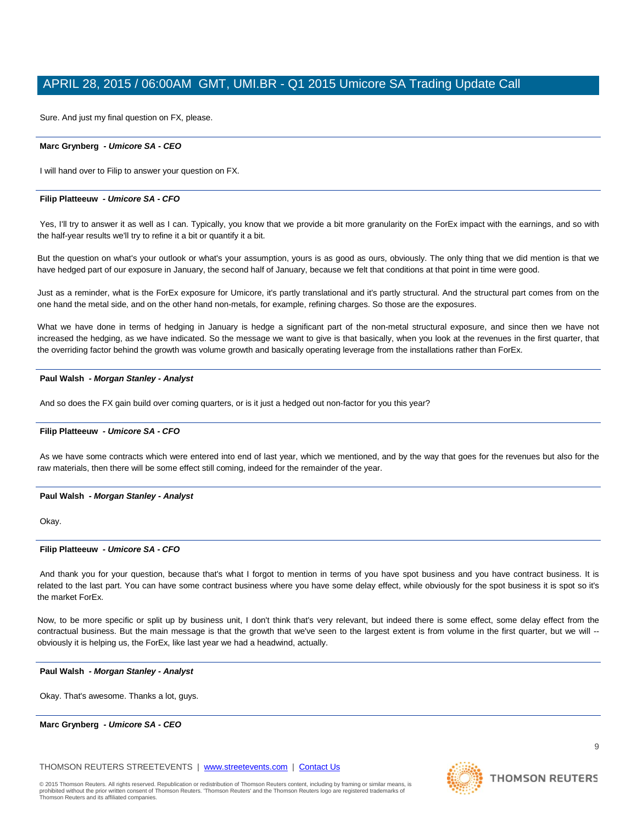Sure. And just my final question on FX, please.

# **Marc Grynberg** *- Umicore SA - CEO*

I will hand over to Filip to answer your question on FX.

#### **Filip Platteeuw** *- Umicore SA - CFO*

Yes, I'll try to answer it as well as I can. Typically, you know that we provide a bit more granularity on the ForEx impact with the earnings, and so with the half-year results we'll try to refine it a bit or quantify it a bit.

But the question on what's your outlook or what's your assumption, yours is as good as ours, obviously. The only thing that we did mention is that we have hedged part of our exposure in January, the second half of January, because we felt that conditions at that point in time were good.

Just as a reminder, what is the ForEx exposure for Umicore, it's partly translational and it's partly structural. And the structural part comes from on the one hand the metal side, and on the other hand non-metals, for example, refining charges. So those are the exposures.

What we have done in terms of hedging in January is hedge a significant part of the non-metal structural exposure, and since then we have not increased the hedging, as we have indicated. So the message we want to give is that basically, when you look at the revenues in the first quarter, that the overriding factor behind the growth was volume growth and basically operating leverage from the installations rather than ForEx.

#### **Paul Walsh** *- Morgan Stanley - Analyst*

And so does the FX gain build over coming quarters, or is it just a hedged out non-factor for you this year?

#### **Filip Platteeuw** *- Umicore SA - CFO*

As we have some contracts which were entered into end of last year, which we mentioned, and by the way that goes for the revenues but also for the raw materials, then there will be some effect still coming, indeed for the remainder of the year.

#### **Paul Walsh** *- Morgan Stanley - Analyst*

Okay.

# **Filip Platteeuw** *- Umicore SA - CFO*

And thank you for your question, because that's what I forgot to mention in terms of you have spot business and you have contract business. It is related to the last part. You can have some contract business where you have some delay effect, while obviously for the spot business it is spot so it's the market ForEx.

Now, to be more specific or split up by business unit, I don't think that's very relevant, but indeed there is some effect, some delay effect from the contractual business. But the main message is that the growth that we've seen to the largest extent is from volume in the first quarter, but we will -obviously it is helping us, the ForEx, like last year we had a headwind, actually.

#### **Paul Walsh** *- Morgan Stanley - Analyst*

Okay. That's awesome. Thanks a lot, guys.

# **Marc Grynberg** *- Umicore SA - CEO*

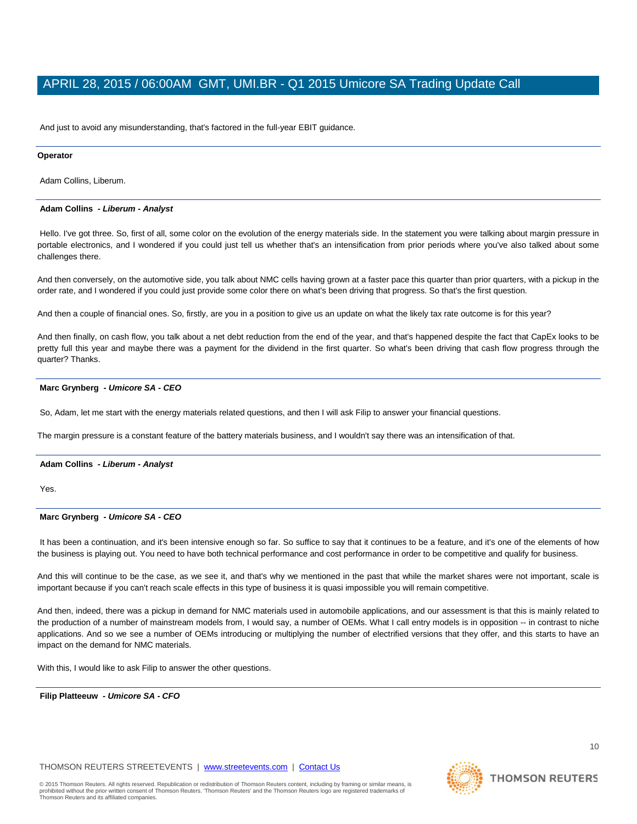And just to avoid any misunderstanding, that's factored in the full-year EBIT guidance.

#### **Operator**

Adam Collins, Liberum.

## **Adam Collins** *- Liberum - Analyst*

Hello. I've got three. So, first of all, some color on the evolution of the energy materials side. In the statement you were talking about margin pressure in portable electronics, and I wondered if you could just tell us whether that's an intensification from prior periods where you've also talked about some challenges there.

And then conversely, on the automotive side, you talk about NMC cells having grown at a faster pace this quarter than prior quarters, with a pickup in the order rate, and I wondered if you could just provide some color there on what's been driving that progress. So that's the first question.

And then a couple of financial ones. So, firstly, are you in a position to give us an update on what the likely tax rate outcome is for this year?

And then finally, on cash flow, you talk about a net debt reduction from the end of the year, and that's happened despite the fact that CapEx looks to be pretty full this year and maybe there was a payment for the dividend in the first quarter. So what's been driving that cash flow progress through the quarter? Thanks.

# **Marc Grynberg** *- Umicore SA - CEO*

So, Adam, let me start with the energy materials related questions, and then I will ask Filip to answer your financial questions.

The margin pressure is a constant feature of the battery materials business, and I wouldn't say there was an intensification of that.

# **Adam Collins** *- Liberum - Analyst*

Yes.

# **Marc Grynberg** *- Umicore SA - CEO*

It has been a continuation, and it's been intensive enough so far. So suffice to say that it continues to be a feature, and it's one of the elements of how the business is playing out. You need to have both technical performance and cost performance in order to be competitive and qualify for business.

And this will continue to be the case, as we see it, and that's why we mentioned in the past that while the market shares were not important, scale is important because if you can't reach scale effects in this type of business it is quasi impossible you will remain competitive.

And then, indeed, there was a pickup in demand for NMC materials used in automobile applications, and our assessment is that this is mainly related to the production of a number of mainstream models from, I would say, a number of OEMs. What I call entry models is in opposition -- in contrast to niche applications. And so we see a number of OEMs introducing or multiplying the number of electrified versions that they offer, and this starts to have an impact on the demand for NMC materials.

With this, I would like to ask Filip to answer the other questions.

**Filip Platteeuw** *- Umicore SA - CFO* 

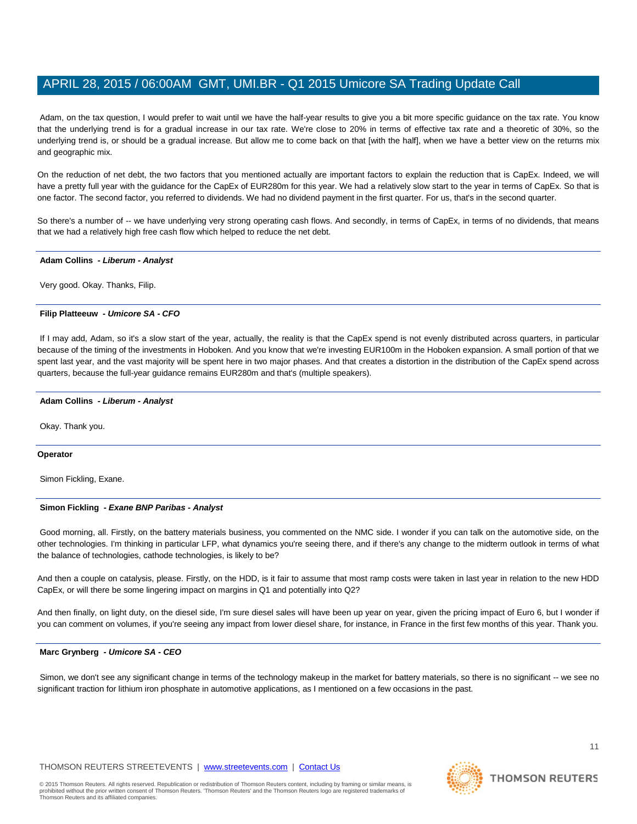Adam, on the tax question, I would prefer to wait until we have the half-year results to give you a bit more specific guidance on the tax rate. You know that the underlying trend is for a gradual increase in our tax rate. We're close to 20% in terms of effective tax rate and a theoretic of 30%, so the underlying trend is, or should be a gradual increase. But allow me to come back on that [with the half], when we have a better view on the returns mix and geographic mix.

On the reduction of net debt, the two factors that you mentioned actually are important factors to explain the reduction that is CapEx. Indeed, we will have a pretty full year with the guidance for the CapEx of EUR280m for this year. We had a relatively slow start to the year in terms of CapEx. So that is one factor. The second factor, you referred to dividends. We had no dividend payment in the first quarter. For us, that's in the second quarter.

So there's a number of -- we have underlying very strong operating cash flows. And secondly, in terms of CapEx, in terms of no dividends, that means that we had a relatively high free cash flow which helped to reduce the net debt.

# **Adam Collins** *- Liberum - Analyst*

Very good. Okay. Thanks, Filip.

# **Filip Platteeuw** *- Umicore SA - CFO*

If I may add, Adam, so it's a slow start of the year, actually, the reality is that the CapEx spend is not evenly distributed across quarters, in particular because of the timing of the investments in Hoboken. And you know that we're investing EUR100m in the Hoboken expansion. A small portion of that we spent last year, and the vast majority will be spent here in two major phases. And that creates a distortion in the distribution of the CapEx spend across quarters, because the full-year guidance remains EUR280m and that's (multiple speakers).

#### **Adam Collins** *- Liberum - Analyst*

Okay. Thank you.

#### **Operator**

Simon Fickling, Exane.

# **Simon Fickling** *- Exane BNP Paribas - Analyst*

Good morning, all. Firstly, on the battery materials business, you commented on the NMC side. I wonder if you can talk on the automotive side, on the other technologies. I'm thinking in particular LFP, what dynamics you're seeing there, and if there's any change to the midterm outlook in terms of what the balance of technologies, cathode technologies, is likely to be?

And then a couple on catalysis, please. Firstly, on the HDD, is it fair to assume that most ramp costs were taken in last year in relation to the new HDD CapEx, or will there be some lingering impact on margins in Q1 and potentially into Q2?

And then finally, on light duty, on the diesel side, I'm sure diesel sales will have been up year on year, given the pricing impact of Euro 6, but I wonder if you can comment on volumes, if you're seeing any impact from lower diesel share, for instance, in France in the first few months of this year. Thank you.

#### **Marc Grynberg** *- Umicore SA - CEO*

Simon, we don't see any significant change in terms of the technology makeup in the market for battery materials, so there is no significant -- we see no significant traction for lithium iron phosphate in automotive applications, as I mentioned on a few occasions in the past.

11



**THOMSON REUTERS**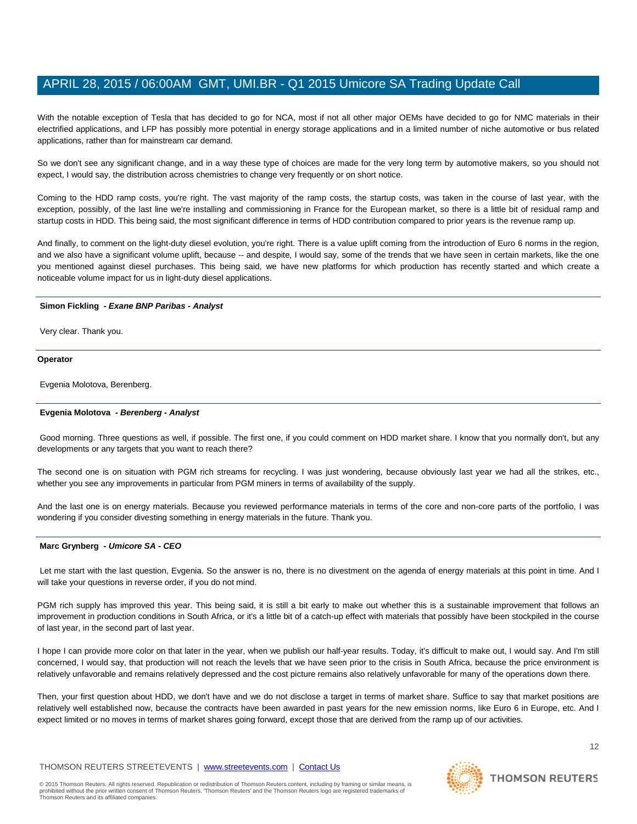With the notable exception of Tesla that has decided to go for NCA, most if not all other major OEMs have decided to go for NMC materials in their electrified applications, and LFP has possibly more potential in energy storage applications and in a limited number of niche automotive or bus related applications, rather than for mainstream car demand.

So we don't see any significant change, and in a way these type of choices are made for the very long term by automotive makers, so you should not expect, I would say, the distribution across chemistries to change very frequently or on short notice.

Coming to the HDD ramp costs, you're right. The vast majority of the ramp costs, the startup costs, was taken in the course of last year, with the exception, possibly, of the last line we're installing and commissioning in France for the European market, so there is a little bit of residual ramp and startup costs in HDD. This being said, the most significant difference in terms of HDD contribution compared to prior years is the revenue ramp up.

And finally, to comment on the light-duty diesel evolution, you're right. There is a value uplift coming from the introduction of Euro 6 norms in the region, and we also have a significant volume uplift, because -- and despite, I would say, some of the trends that we have seen in certain markets, like the one you mentioned against diesel purchases. This being said, we have new platforms for which production has recently started and which create a noticeable volume impact for us in light-duty diesel applications.

# **Simon Fickling** *- Exane BNP Paribas - Analyst*

Very clear. Thank you.

#### **Operator**

Evgenia Molotova, Berenberg.

## **Evgenia Molotova** *- Berenberg - Analyst*

Good morning. Three questions as well, if possible. The first one, if you could comment on HDD market share. I know that you normally don't, but any developments or any targets that you want to reach there?

The second one is on situation with PGM rich streams for recycling. I was just wondering, because obviously last year we had all the strikes, etc., whether you see any improvements in particular from PGM miners in terms of availability of the supply.

And the last one is on energy materials. Because you reviewed performance materials in terms of the core and non-core parts of the portfolio, I was wondering if you consider divesting something in energy materials in the future. Thank you.

# **Marc Grynberg** *- Umicore SA - CEO*

Let me start with the last question, Evgenia. So the answer is no, there is no divestment on the agenda of energy materials at this point in time. And I will take your questions in reverse order, if you do not mind.

PGM rich supply has improved this year. This being said, it is still a bit early to make out whether this is a sustainable improvement that follows an improvement in production conditions in South Africa, or it's a little bit of a catch-up effect with materials that possibly have been stockpiled in the course of last year, in the second part of last year.

I hope I can provide more color on that later in the year, when we publish our half-year results. Today, it's difficult to make out, I would say. And I'm still concerned, I would say, that production will not reach the levels that we have seen prior to the crisis in South Africa, because the price environment is relatively unfavorable and remains relatively depressed and the cost picture remains also relatively unfavorable for many of the operations down there.

Then, your first question about HDD, we don't have and we do not disclose a target in terms of market share. Suffice to say that market positions are relatively well established now, because the contracts have been awarded in past years for the new emission norms, like Euro 6 in Europe, etc. And I expect limited or no moves in terms of market shares going forward, except those that are derived from the ramp up of our activities.

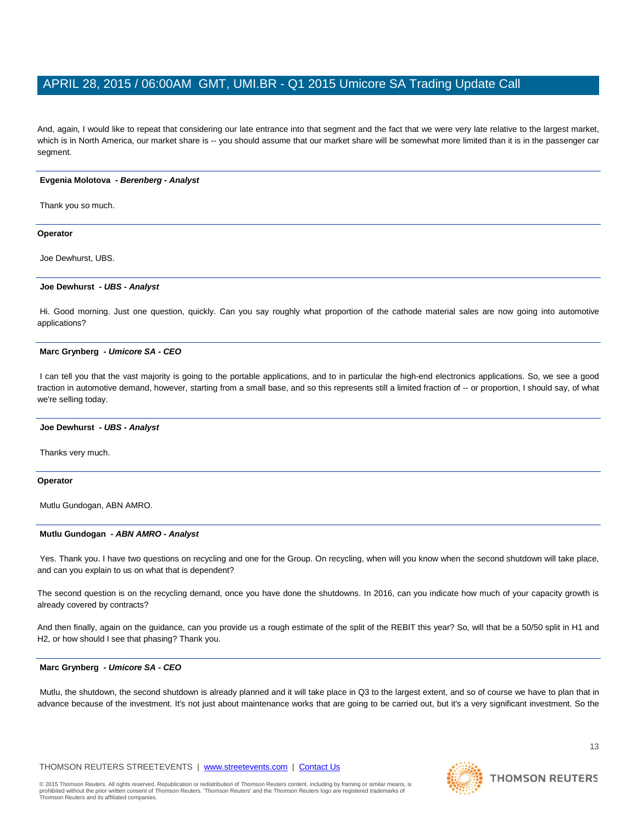And, again, I would like to repeat that considering our late entrance into that segment and the fact that we were very late relative to the largest market, which is in North America, our market share is -- you should assume that our market share will be somewhat more limited than it is in the passenger car segment.

# **Evgenia Molotova** *- Berenberg - Analyst*

Thank you so much.

# **Operator**

Joe Dewhurst, UBS.

# **Joe Dewhurst** *- UBS - Analyst*

Hi. Good morning. Just one question, quickly. Can you say roughly what proportion of the cathode material sales are now going into automotive applications?

#### **Marc Grynberg** *- Umicore SA - CEO*

I can tell you that the vast majority is going to the portable applications, and to in particular the high-end electronics applications. So, we see a good traction in automotive demand, however, starting from a small base, and so this represents still a limited fraction of -- or proportion, I should say, of what we're selling today.

#### **Joe Dewhurst** *- UBS - Analyst*

Thanks very much.

# **Operator**

Mutlu Gundogan, ABN AMRO.

# **Mutlu Gundogan** *- ABN AMRO - Analyst*

Yes. Thank you. I have two questions on recycling and one for the Group. On recycling, when will you know when the second shutdown will take place, and can you explain to us on what that is dependent?

The second question is on the recycling demand, once you have done the shutdowns. In 2016, can you indicate how much of your capacity growth is already covered by contracts?

And then finally, again on the guidance, can you provide us a rough estimate of the split of the REBIT this year? So, will that be a 50/50 split in H1 and H2, or how should I see that phasing? Thank you.

# **Marc Grynberg** *- Umicore SA - CEO*

Mutlu, the shutdown, the second shutdown is already planned and it will take place in Q3 to the largest extent, and so of course we have to plan that in advance because of the investment. It's not just about maintenance works that are going to be carried out, but it's a very significant investment. So the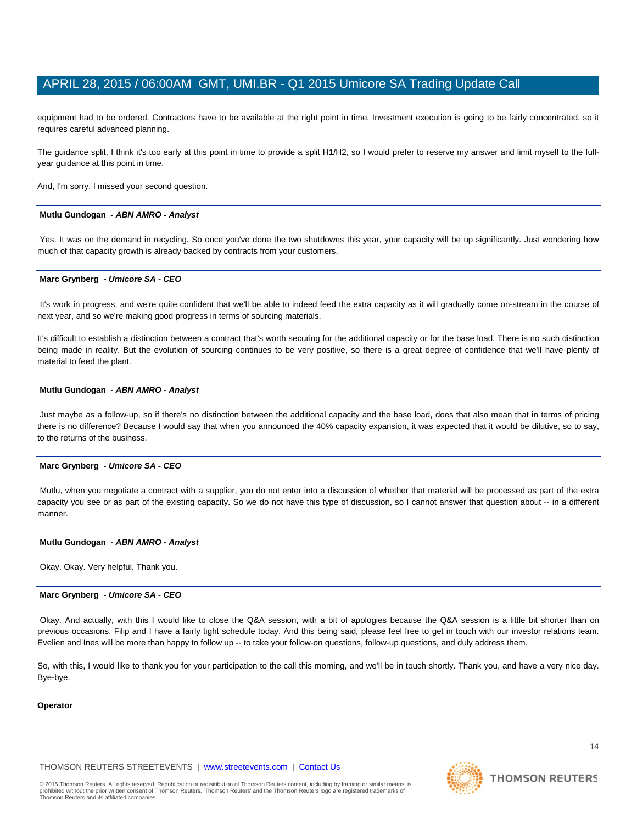equipment had to be ordered. Contractors have to be available at the right point in time. Investment execution is going to be fairly concentrated, so it requires careful advanced planning.

The guidance split, I think it's too early at this point in time to provide a split H1/H2, so I would prefer to reserve my answer and limit myself to the fullyear guidance at this point in time.

And, I'm sorry, I missed your second question.

#### **Mutlu Gundogan** *- ABN AMRO - Analyst*

Yes. It was on the demand in recycling. So once you've done the two shutdowns this year, your capacity will be up significantly. Just wondering how much of that capacity growth is already backed by contracts from your customers.

#### **Marc Grynberg** *- Umicore SA - CEO*

It's work in progress, and we're quite confident that we'll be able to indeed feed the extra capacity as it will gradually come on-stream in the course of next year, and so we're making good progress in terms of sourcing materials.

It's difficult to establish a distinction between a contract that's worth securing for the additional capacity or for the base load. There is no such distinction being made in reality. But the evolution of sourcing continues to be very positive, so there is a great degree of confidence that we'll have plenty of material to feed the plant.

#### **Mutlu Gundogan** *- ABN AMRO - Analyst*

Just maybe as a follow-up, so if there's no distinction between the additional capacity and the base load, does that also mean that in terms of pricing there is no difference? Because I would say that when you announced the 40% capacity expansion, it was expected that it would be dilutive, so to say, to the returns of the business.

#### **Marc Grynberg** *- Umicore SA - CEO*

Mutlu, when you negotiate a contract with a supplier, you do not enter into a discussion of whether that material will be processed as part of the extra capacity you see or as part of the existing capacity. So we do not have this type of discussion, so I cannot answer that question about -- in a different manner.

# **Mutlu Gundogan** *- ABN AMRO - Analyst*

Okay. Okay. Very helpful. Thank you.

# **Marc Grynberg** *- Umicore SA - CEO*

Okay. And actually, with this I would like to close the Q&A session, with a bit of apologies because the Q&A session is a little bit shorter than on previous occasions. Filip and I have a fairly tight schedule today. And this being said, please feel free to get in touch with our investor relations team. Evelien and lnes will be more than happy to follow up -- to take your follow-on questions, follow-up questions, and duly address them.

So, with this, I would like to thank you for your participation to the call this morning, and we'll be in touch shortly. Thank you, and have a very nice day. Bye-bye.

#### **Operator**